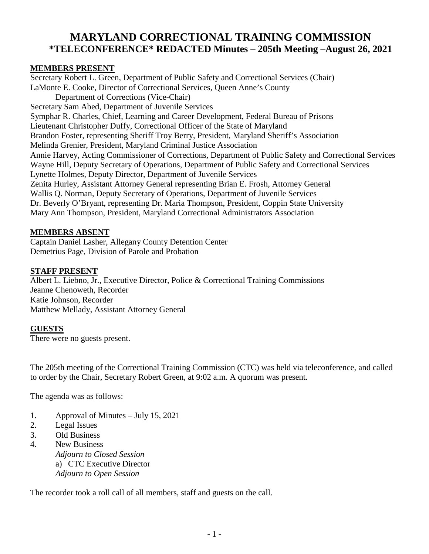# **MARYLAND CORRECTIONAL TRAINING COMMISSION \*TELECONFERENCE\* REDACTED Minutes – 205th Meeting –August 26, 2021**

#### **MEMBERS PRESENT**

Secretary Robert L. Green, Department of Public Safety and Correctional Services (Chair) LaMonte E. Cooke, Director of Correctional Services, Queen Anne's County Department of Corrections (Vice-Chair) Secretary Sam Abed, Department of Juvenile Services Symphar R. Charles, Chief, Learning and Career Development, Federal Bureau of Prisons Lieutenant Christopher Duffy, Correctional Officer of the State of Maryland Brandon Foster, representing Sheriff Troy Berry, President, Maryland Sheriff's Association Melinda Grenier, President, Maryland Criminal Justice Association Annie Harvey, Acting Commissioner of Corrections, Department of Public Safety and Correctional Services Wayne Hill, Deputy Secretary of Operations, Department of Public Safety and Correctional Services Lynette Holmes, Deputy Director, Department of Juvenile Services Zenita Hurley, Assistant Attorney General representing Brian E. Frosh, Attorney General Wallis Q. Norman, Deputy Secretary of Operations, Department of Juvenile Services Dr. Beverly O'Bryant, representing Dr. Maria Thompson, President, Coppin State University Mary Ann Thompson, President, Maryland Correctional Administrators Association

#### **MEMBERS ABSENT**

Captain Daniel Lasher, Allegany County Detention Center Demetrius Page, Division of Parole and Probation

#### **STAFF PRESENT**

Albert L. Liebno, Jr., Executive Director, Police & Correctional Training Commissions Jeanne Chenoweth, Recorder Katie Johnson, Recorder Matthew Mellady, Assistant Attorney General

#### **GUESTS**

There were no guests present.

The 205th meeting of the Correctional Training Commission (CTC) was held via teleconference, and called to order by the Chair, Secretary Robert Green, at 9:02 a.m. A quorum was present.

The agenda was as follows:

- 1. Approval of Minutes July 15, 2021
- 2. Legal Issues
- 3. Old Business
- 4. New Business *Adjourn to Closed Session* a) CTC Executive Director *Adjourn to Open Session*

The recorder took a roll call of all members, staff and guests on the call.